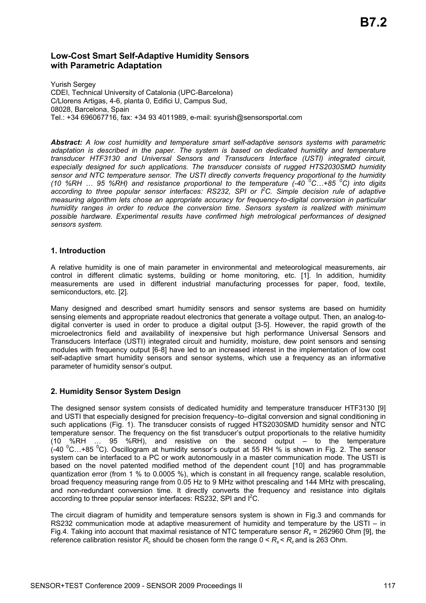# **Low-Cost Smart Self-Adaptive Humidity Sensors with Parametric Adaptation**

Yurish Sergey CDEI, Technical University of Catalonia (UPC-Barcelona) C/Llorens Artigas, 4-6, planta 0, Edifici U, Campus Sud, 08028, Barcelona, Spain Tel.: +34 696067716, fax: +34 93 4011989, e-mail: syurish@sensorsportal.com

*Abstract: A low cost humidity and temperature smart self-adaptive sensors systems with parametric adaptation is described in the paper. The system is based on dedicated humidity and temperature transducer HTF3130 and Universal Sensors and Transducers Interface (USTI) integrated circuit, especially designed for such applications. The transducer consists of rugged HTS2030SMD humidity sensor and NTC temperature sensor. The USTI directly converts frequency proportional to the humidity (10 %RH … 95 %RH) and resistance proportional to the temperature (-40 <sup>0</sup> C…+85 <sup>0</sup> C) into digits according to three popular sensor interfaces: RS232, SPI or I2 C. Simple decision rule of adaptive measuring algorithm lets chose an appropriate accuracy for frequency-to-digital conversion in particular humidity ranges in order to reduce the conversion time. Sensors system is realized with minimum possible hardware. Experimental results have confirmed high metrological performances of designed sensors system.* 

## **1. Introduction**

A relative humidity is one of main parameter in environmental and meteorological measurements, air control in different climatic systems, building or home monitoring, etc. [1]. In addition, humidity measurements are used in different industrial manufacturing processes for paper, food, textile, semiconductors, etc. [2].

Many designed and described smart humidity sensors and sensor systems are based on humidity sensing elements and appropriate readout electronics that generate a voltage output. Then, an analog-todigital converter is used in order to produce a digital output [3-5]. However, the rapid growth of the microelectronics field and availability of inexpensive but high performance Universal Sensors and Transducers Interface (USTI) integrated circuit and humidity, moisture, dew point sensors and sensing modules with frequency output [6-8] have led to an increased interest in the implementation of low cost self-adaptive smart humidity sensors and sensor systems, which use a frequency as an informative parameter of humidity sensor's output.

## **2. Humidity Sensor System Design**

The designed sensor system consists of dedicated humidity and temperature transducer HTF3130 [9] and USTI that especially designed for precision frequency–to–digital conversion and signal conditioning in such applications (Fig. 1). The transducer consists of rugged HTS2030SMD humidity sensor and NTC temperature sensor. The frequency on the fist transducer's output proportionals to the relative humidity (10 %RH … 95 %RH), and resistive on the second output – to the temperature  $($ -40  $^{0}$ C...+85  $^{0}$ C). Oscillogram at humidity sensor's output at 55 RH % is shown in Fig. 2. The sensor system can be interfaced to a PC or work autonomously in a master communication mode. The USTI is based on the novel patented modified method of the dependent count [10] and has programmable quantization error (from 1 % to 0.0005 %), which is constant in all frequency range, scalable resolution, broad frequency measuring range from 0.05 Hz to 9 MHz withot prescaling and 144 MHz with prescaling, and non-redundant conversion time. It directly converts the frequency and resistance into digitals according to three popular sensor interfaces: RS232, SPI and I<sup>2</sup>C.

The circuit diagram of humidity and temperature sensors system is shown in Fig.3 and commands for RS232 communication mode at adaptive measurement of humidity and temperature by the USTI – in Fig.4. Taking into account that maximal resistance of NTC temperature sensor  $R_x$  = 262960 Ohm [9], the reference calibration resistor  $R_c$  should be chosen form the range  $0 < R_x < R_c$  and is 263 Ohm.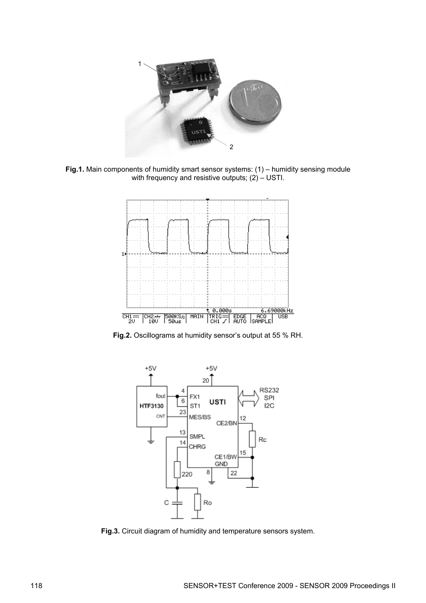

**Fig.1.** Main components of humidity smart sensor systems: (1) – humidity sensing module with frequency and resistive outputs;  $(2) -$  USTI.



**Fig.2.** Oscillograms at humidity sensor's output at 55 % RH.



**Fig.3.** Circuit diagram of humidity and temperature sensors system.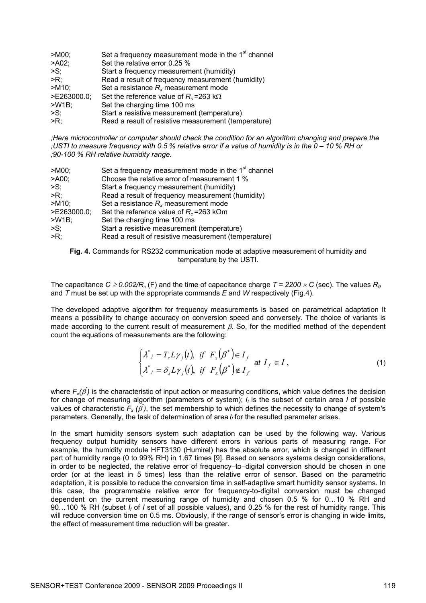| $>$ M00;       | Set a frequency measurement mode in the 1 <sup>st</sup> channel |
|----------------|-----------------------------------------------------------------|
| >A02;          | Set the relative error 0.25 %                                   |
| $\mathsf{S}$ ; | Start a frequency measurement (humidity)                        |
| $>R$ :         | Read a result of frequency measurement (humidity)               |
| $>$ M10;       | Set a resistance $R_x$ measurement mode                         |
| >E263000.0;    | Set the reference value of $R_c$ =263 k $\Omega$                |
| $>W1B$ ;       | Set the charging time 100 ms                                    |
| $>S$ ;         | Start a resistive measurement (temperature)                     |
| $>R$ :         | Read a result of resistive measurement (temperature)            |

*;Here microcontroller or computer should check the condition for an algorithm changing and prepare the ;USTI to measure frequency with 0.5 % relative error if a value of humidity is in the 0 – 10 % RH or ;90-100 % RH relative humidity range.* 

| $>$ M00;        | Set a frequency measurement mode in the 1 <sup>st</sup> channel |
|-----------------|-----------------------------------------------------------------|
| > A00;          | Choose the relative error of measurement 1 %                    |
| $\mathsf{S}$ :  | Start a frequency measurement (humidity)                        |
| $>R$ :          | Read a result of frequency measurement (humidity)               |
| $-M10$          | Set a resistance $R_x$ measurement mode                         |
| $>E263000.0$ ;  | Set the reference value of $R_c$ =263 kOm                       |
| $>W1B$ ;        | Set the charging time 100 ms                                    |
| $\mathsf{SS}$ ; | Start a resistive measurement (temperature)                     |
| >R;             | Read a result of resistive measurement (temperature)            |

**Fig. 4.** Commands for RS232 communication mode at adaptive measurement of humidity and temperature by the USTI.

The capacitance  $C \geq 0.002/R_c$  (F) and the time of capacitance charge  $T = 2200 \times C$  (sec). The values  $R_0$ and *T* must be set up with the appropriate commands *E* and *W* respectively (Fig.4).

The developed adaptive algorithm for frequency measurements is based on parametrical adaptation It means a possibility to change accuracy on conversion speed and conversely. The choice of variants is made according to the current result of measurement  $\beta$ . So, for the modified method of the dependent count the equations of measurements are the following:

$$
\begin{cases} \lambda^*_{\ j} = T_s L \gamma_j(t), & \text{if} \quad F_x(\beta^*) \in I_f \\ \lambda^*_{\ j} = \delta_s L \gamma_j(t), & \text{if} \quad F_x(\beta^*) \notin I_f \end{cases} \quad \text{at} \quad I_f \in I \,, \tag{1}
$$

where  $F_{x}(\beta)$  is the characteristic of input action or measuring conditions, which value defines the decision for change of measuring algorithm (parameters of system); *If* is the subset of certain area *I* of possible values of characteristic  $F_x(\vec{\beta})$ , the set membership to which defines the necessity to change of system's parameters. Generally, the task of determination of area *If* for the resulted parameter arises.

In the smart humidity sensors system such adaptation can be used by the following way. Various frequency output humidity sensors have different errors in various parts of measuring range. For example, the humidity module HFT3130 (Humirel) has the absolute error, which is changed in different part of humidity range (0 to 99% RH) in 1.67 times [9]. Based on sensors systems design considerations, in order to be neglected, the relative error of frequency–to–digital conversion should be chosen in one order (or at the least in 5 times) less than the relative error of sensor. Based on the parametric adaptation, it is possible to reduce the conversion time in self-adaptive smart humidity sensor systems. In this case, the programmable relative error for frequency-to-digital conversion must be changed dependent on the current measuring range of humidity and chosen 0.5 % for 0…10 % RH and 90…100 % RH (subset *If* of *I* set of all possible values), and 0.25 % for the rest of humidity range. This will reduce conversion time on 0.5 ms. Obviously, if the range of sensor's error is changing in wide limits, the effect of measurement time reduction will be greater.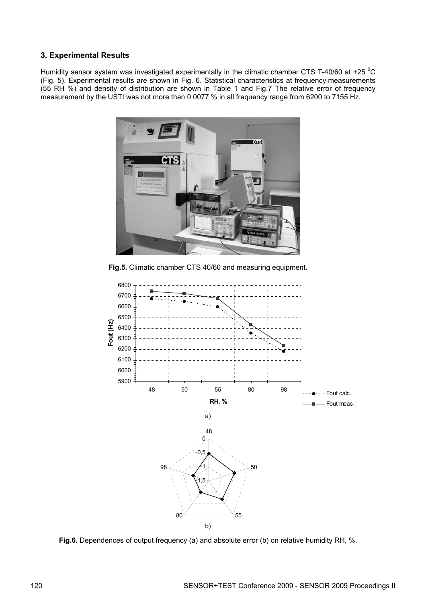## **3. Experimental Results**

Humidity sensor system was investigated experimentally in the climatic chamber CTS T-40/60 at +25  $^{0}$ C (Fig. 5). Experimental results are shown in Fig. 6. Statistical characteristics at frequency measurements (55 RH %) and density of distribution are shown in Table 1 and Fig.7 The relative error of frequency measurement by the USTI was not more than 0.0077 % in all frequency range from 6200 to 7155 Hz.



**Fig.5.** Climatic chamber CTS 40/60 and measuring equipment.



**Fig.6.** Dependences of output frequency (a) and absolute error (b) on relative humidity RH, %.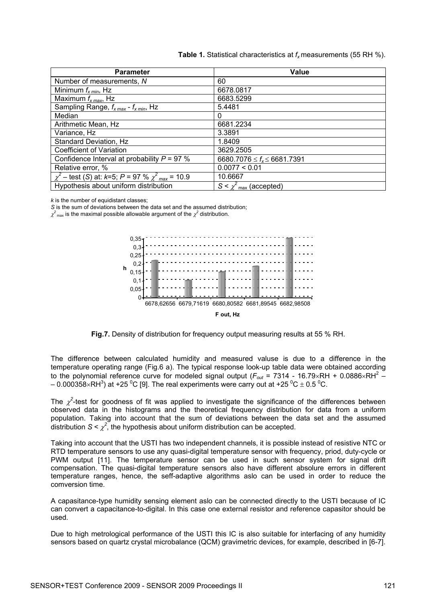|  |  |  | <b>Table 1.</b> Statistical characteristics at $f_x$ measurements (55 RH %). |  |  |
|--|--|--|------------------------------------------------------------------------------|--|--|
|--|--|--|------------------------------------------------------------------------------|--|--|

| <b>Parameter</b>                                                     | <b>Value</b>                          |
|----------------------------------------------------------------------|---------------------------------------|
| Number of measurements, N                                            | 60                                    |
| Minimum $f_{x,min}$ , Hz                                             | 6678.0817                             |
| Maximum $f_{x max}$ , Hz                                             | 6683.5299                             |
| Sampling Range, $f_{x max}$ - $f_{x min}$ , Hz                       | 5.4481                                |
| Median                                                               | 0                                     |
| Arithmetic Mean, Hz                                                  | 6681.2234                             |
| Variance, Hz                                                         | 3.3891                                |
| Standard Deviation, Hz                                               | 1.8409                                |
| <b>Coefficient of Variation</b>                                      | 3629.2505                             |
| Confidence Interval at probability $P = 97$ %                        | 6680.7076 $\leq f_{x} \leq 6681.7391$ |
| Relative error, %                                                    | 0.0077 < 0.01                         |
| $\chi^2$ – test (S) at: k=5; P = 97 % $\chi^2$ <sub>max</sub> = 10.9 | 10.6667                               |
| Hypothesis about uniform distribution                                | $S \leq \chi^2$<br>max (accepted)     |

*k* is the number of equidistant classes;

*S* is the sum of deviations between the data set and the assumed distribution;

 $\chi^2$ <sub>max</sub> is the maximal possible allowable argument of the  $\chi^2$  distribution.



**Fig.7.** Density of distribution for frequency output measuring results at 55 % RH.

The difference between calculated humidity and measured valuse is due to a difference in the temperature operating range (Fig.6 a). The typical response look-up table data were obtained according to the polynomial reference curve for modeled signal output ( $F_{out}$  = 7314 - 16.79×RH + 0.0886×RH<sup>2</sup> –  $-$  0.000358×RH<sup>3</sup>) at +25 <sup>0</sup>C [9]. The real experiments were carry out at +25  $^0$ C  $\pm$  0.5  $^0$ C.

The  $\chi^2$ -test for goodness of fit was applied to investigate the significance of the differences between observed data in the histograms and the theoretical frequency distribution for data from a uniform population. Taking into account that the sum of deviations between the data set and the assumed distribution  $S \leq \chi^2$ , the hypothesis about uniform distribution can be accepted.

Taking into account that the USTI has two independent channels, it is possible instead of resistive NTC or RTD temperature sensors to use any quasi-digital temperature sensor with frequency, priod, duty-cycle or PWM output [11]. The temperature sensor can be used in such sensor system for signal drift compensation. The quasi-digital temperature sensors also have different absolure errors in different temperature ranges, hence, the seff-adaptive algorithms aslo can be used in order to reduce the comversion time.

A capasitance-type humidity sensing element aslo can be connected directly to the USTI because of IC can convert a capacitance-to-digital. In this case one external resistor and reference capasitor should be used.

Due to high metrological performance of the USTI this IC is also suitable for interfacing of any humidity sensors based on quartz crystal microbalance (QCM) gravimetric devices, for example, described in [6-7].